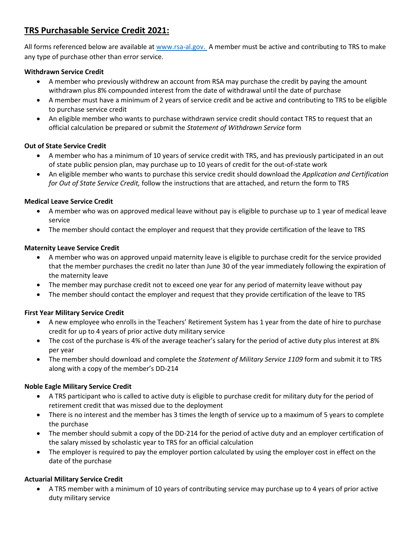# **TRS Purchasable Service Credit 2021:**

All forms referenced below are available a[t www.rsa-al.gov.](http://www.rsa-al.gov/) A member must be active and contributing to TRS to make any type of purchase other than error service.

### **Withdrawn Service Credit**

- A member who previously withdrew an account from RSA may purchase the credit by paying the amount withdrawn plus 8% compounded interest from the date of withdrawal until the date of purchase
- A member must have a minimum of 2 years of service credit and be active and contributing to TRS to be eligible to purchase service credit
- An eligible member who wants to purchase withdrawn service credit should contact TRS to request that an official calculation be prepared or submit the *Statement of Withdrawn Service* form

#### **Out of State Service Credit**

- A member who has a minimum of 10 years of service credit with TRS, and has previously participated in an out of state public pension plan, may purchase up to 10 years of credit for the out-of-state work
- An eligible member who wants to purchase this service credit should download the *Application and Certification for Out of State Service Credit,* follow the instructions that are attached, and return the form to TRS

#### **Medical Leave Service Credit**

- A member who was on approved medical leave without pay is eligible to purchase up to 1 year of medical leave service
- The member should contact the employer and request that they provide certification of the leave to TRS

#### **Maternity Leave Service Credit**

- A member who was on approved unpaid maternity leave is eligible to purchase credit for the service provided that the member purchases the credit no later than June 30 of the year immediately following the expiration of the maternity leave
- The member may purchase credit not to exceed one year for any period of maternity leave without pay
- The member should contact the employer and request that they provide certification of the leave to TRS

#### **First Year Military Service Credit**

- A new employee who enrolls in the Teachers' Retirement System has 1 year from the date of hire to purchase credit for up to 4 years of prior active duty military service
- The cost of the purchase is 4% of the average teacher's salary for the period of active duty plus interest at 8% per year
- The member should download and complete the *Statement of Military Service 1109* form and submit it to TRS along with a copy of the member's DD-214

#### **Noble Eagle Military Service Credit**

- A TRS participant who is called to active duty is eligible to purchase credit for military duty for the period of retirement credit that was missed due to the deployment
- There is no interest and the member has 3 times the length of service up to a maximum of 5 years to complete the purchase
- The member should submit a copy of the DD-214 for the period of active duty and an employer certification of the salary missed by scholastic year to TRS for an official calculation
- The employer is required to pay the employer portion calculated by using the employer cost in effect on the date of the purchase

#### **Actuarial Military Service Credit**

• A TRS member with a minimum of 10 years of contributing service may purchase up to 4 years of prior active duty military service